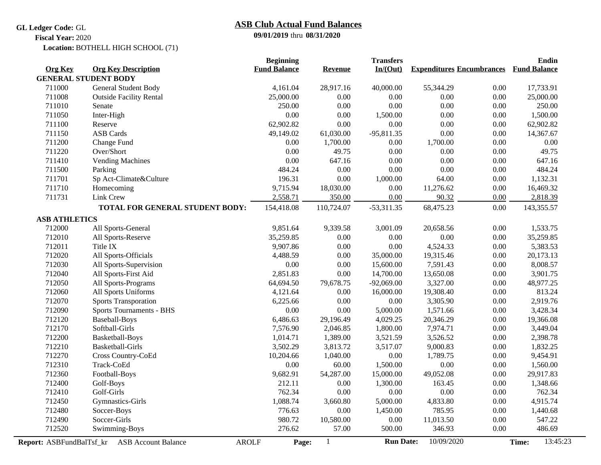## **GL Ledger Code:** GL

# **09/01/2019** thru **08/31/2020 ASB Club Actual Fund Balances**

**Fiscal Year:** 2020

BOTHELL HIGH SCHOOL (71) **Location:**

|                          |                                            | <b>Beginning</b>    |                | <b>Transfers</b> |                                  |      | Endin               |  |
|--------------------------|--------------------------------------------|---------------------|----------------|------------------|----------------------------------|------|---------------------|--|
| <b>Org Key</b>           | <b>Org Key Description</b>                 | <b>Fund Balance</b> | <b>Revenue</b> | In/(Out)         | <b>Expenditures Encumbrances</b> |      | <b>Fund Balance</b> |  |
|                          | <b>GENERAL STUDENT BODY</b>                |                     |                |                  |                                  |      |                     |  |
| 711000                   | General Student Body                       | 4,161.04            | 28,917.16      | 40,000.00        | 55,344.29                        | 0.00 | 17,733.91           |  |
| 711008                   | <b>Outside Facility Rental</b>             | 25,000.00           | 0.00           | 0.00             | 0.00                             | 0.00 | 25,000.00           |  |
| 711010                   | Senate                                     | 250.00              | 0.00           | 0.00             | 0.00                             | 0.00 | 250.00              |  |
| 711050                   | Inter-High                                 | 0.00                | 0.00           | 1,500.00         | 0.00                             | 0.00 | 1,500.00            |  |
| 711100                   | Reserve                                    | 62,902.82           | 0.00           | $0.00\,$         | 0.00                             | 0.00 | 62,902.82           |  |
| 711150                   | <b>ASB</b> Cards                           | 49,149.02           | 61,030.00      | $-95,811.35$     | 0.00                             | 0.00 | 14,367.67           |  |
| 711200                   | Change Fund                                | 0.00                | 1,700.00       | 0.00             | 1,700.00                         | 0.00 | 0.00                |  |
| 711220                   | Over/Short                                 | 0.00                | 49.75          | 0.00             | 0.00                             | 0.00 | 49.75               |  |
| 711410                   | <b>Vending Machines</b>                    | $0.00\,$            | 647.16         | $0.00\,$         | 0.00                             | 0.00 | 647.16              |  |
| 711500                   | Parking                                    | 484.24              | 0.00           | 0.00             | 0.00                             | 0.00 | 484.24              |  |
| 711701                   | Sp Act-Climate&Culture                     | 196.31              | 0.00           | 1,000.00         | 64.00                            | 0.00 | 1,132.31            |  |
| 711710                   | Homecoming                                 | 9,715.94            | 18,030.00      | $0.00\,$         | 11,276.62                        | 0.00 | 16,469.32           |  |
| 711731                   | Link Crew                                  | 2,558.71            | 350.00         | 0.00             | 90.32                            | 0.00 | 2,818.39            |  |
|                          | TOTAL FOR GENERAL STUDENT BODY:            | 154,418.08          | 110,724.07     | $-53,311.35$     | 68,475.23                        | 0.00 | 143,355.57          |  |
| <b>ASB ATHLETICS</b>     |                                            |                     |                |                  |                                  |      |                     |  |
| 712000                   | All Sports-General                         | 9,851.64            | 9,339.58       | 3,001.09         | 20,658.56                        | 0.00 | 1,533.75            |  |
| 712010                   | All Sports-Reserve                         | 35,259.85           | 0.00           | 0.00             | 0.00                             | 0.00 | 35,259.85           |  |
| 712011                   | Title IX                                   | 9,907.86            | 0.00           | 0.00             | 4,524.33                         | 0.00 | 5,383.53            |  |
| 712020                   | All Sports-Officials                       | 4,488.59            | 0.00           | 35,000.00        | 19,315.46                        | 0.00 | 20,173.13           |  |
| 712030                   | All Sports-Supervision                     | 0.00                | 0.00           | 15,600.00        | 7,591.43                         | 0.00 | 8,008.57            |  |
| 712040                   | All Sports-First Aid                       | 2,851.83            | 0.00           | 14,700.00        | 13,650.08                        | 0.00 | 3,901.75            |  |
| 712050                   | All Sports-Programs                        | 64,694.50           | 79,678.75      | $-92,069.00$     | 3,327.00                         | 0.00 | 48,977.25           |  |
| 712060                   | All Sports Uniforms                        | 4,121.64            | 0.00           | 16,000.00        | 19,308.40                        | 0.00 | 813.24              |  |
| 712070                   | <b>Sports Transporation</b>                | 6,225.66            | 0.00           | $0.00\,$         | 3,305.90                         | 0.00 | 2,919.76            |  |
| 712090                   | Sports Tournaments - BHS                   | 0.00                | 0.00           | 5,000.00         | 1,571.66                         | 0.00 | 3,428.34            |  |
| 712120                   | Baseball-Boys                              | 6,486.63            | 29,196.49      | 4,029.25         | 20,346.29                        | 0.00 | 19,366.08           |  |
| 712170                   | Softball-Girls                             | 7,576.90            | 2,046.85       | 1,800.00         | 7,974.71                         | 0.00 | 3,449.04            |  |
| 712200                   | Basketball-Boys                            | 1,014.71            | 1,389.00       | 3,521.59         | 3,526.52                         | 0.00 | 2,398.78            |  |
| 712210                   | <b>Basketball-Girls</b>                    | 3,502.29            | 3,813.72       | 3,517.07         | 9,000.83                         | 0.00 | 1,832.25            |  |
| 712270                   | Cross Country-CoEd                         | 10,204.66           | 1,040.00       | 0.00             | 1,789.75                         | 0.00 | 9,454.91            |  |
| 712310                   | Track-CoEd                                 | 0.00                | 60.00          | 1,500.00         | 0.00                             | 0.00 | 1,560.00            |  |
| 712360                   | Football-Boys                              | 9,682.91            | 54,287.00      | 15,000.00        | 49,052.08                        | 0.00 | 29,917.83           |  |
| 712400                   | Golf-Boys                                  | 212.11              | 0.00           | 1,300.00         | 163.45                           | 0.00 | 1,348.66            |  |
| 712410                   | Golf-Girls                                 | 762.34              | 0.00           | 0.00             | 0.00                             | 0.00 | 762.34              |  |
| 712450                   | Gymnastics-Girls                           | 1,088.74            | 3,660.80       | 5,000.00         | 4,833.80                         | 0.00 | 4,915.74            |  |
| 712480                   | Soccer-Boys                                | 776.63              | 0.00           | 1,450.00         | 785.95                           | 0.00 | 1,440.68            |  |
| 712490                   | Soccer-Girls                               | 980.72              | 10,580.00      | 0.00             | 11,013.50                        | 0.00 | 547.22              |  |
| 712520                   | Swimming-Boys                              | 276.62              | 57.00          | 500.00           | 346.93                           | 0.00 | 486.69              |  |
| Report: ASBFundBalTsf_kr | <b>ASB Account Balance</b><br><b>AROLF</b> | Page:               | $\mathbf{1}$   | <b>Run Date:</b> | 10/09/2020                       |      | 13:45:23<br>Time:   |  |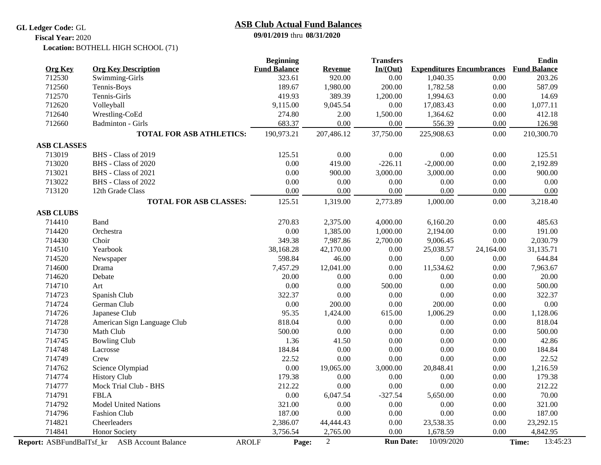### **GL Ledger Code:** GL

# **ASB Club Actual Fund Balances**

**09/01/2019** thru **08/31/2020**

BOTHELL HIGH SCHOOL (71) **Location: Fiscal Year:** 2020

|                    |                                              | <b>Beginning</b>      |            | <b>Transfers</b> |                                  |           | Endin               |
|--------------------|----------------------------------------------|-----------------------|------------|------------------|----------------------------------|-----------|---------------------|
| <b>Org Key</b>     | <b>Org Key Description</b>                   | <b>Fund Balance</b>   | Revenue    | In/(Out)         | <b>Expenditures Encumbrances</b> |           | <b>Fund Balance</b> |
| 712530             | Swimming-Girls                               | 323.61                | 920.00     | 0.00             | 1,040.35                         | 0.00      | 203.26              |
| 712560             | Tennis-Boys                                  | 189.67                | 1,980.00   | 200.00           | 1,782.58                         | 0.00      | 587.09              |
| 712570             | Tennis-Girls                                 | 419.93                | 389.39     | 1,200.00         | 1,994.63                         | 0.00      | 14.69               |
| 712620             | Volleyball                                   | 9,115.00              | 9,045.54   | 0.00             | 17,083.43                        | 0.00      | 1,077.11            |
| 712640             | Wrestling-CoEd                               | 274.80                | 2.00       | 1,500.00         | 1,364.62                         | 0.00      | 412.18              |
| 712660             | <b>Badminton - Girls</b>                     | 683.37                | 0.00       | 0.00             | 556.39                           | 0.00      | 126.98              |
|                    | <b>TOTAL FOR ASB ATHLETICS:</b>              | 190,973.21            | 207,486.12 | 37,750.00        | 225,908.63                       | 0.00      | 210,300.70          |
| <b>ASB CLASSES</b> |                                              |                       |            |                  |                                  |           |                     |
| 713019             | BHS - Class of 2019                          | 125.51                | 0.00       | 0.00             | 0.00                             | 0.00      | 125.51              |
| 713020             | BHS - Class of 2020                          | 0.00                  | 419.00     | $-226.11$        | $-2,000.00$                      | 0.00      | 2,192.89            |
| 713021             | BHS - Class of 2021                          | 0.00                  | 900.00     | 3,000.00         | 3,000.00                         | 0.00      | 900.00              |
| 713022             | BHS - Class of 2022                          | 0.00                  | 0.00       | 0.00             | 0.00                             | 0.00      | 0.00                |
| 713120             | 12th Grade Class                             | 0.00                  | 0.00       | 0.00             | 0.00                             | 0.00      | 0.00                |
|                    | <b>TOTAL FOR ASB CLASSES:</b>                | 125.51                | 1,319.00   | 2,773.89         | 1,000.00                         | 0.00      | 3,218.40            |
| <b>ASB CLUBS</b>   |                                              |                       |            |                  |                                  |           |                     |
| 714410             | Band                                         | 270.83                | 2,375.00   | 4,000.00         | 6,160.20                         | 0.00      | 485.63              |
| 714420             | Orchestra                                    | 0.00                  | 1,385.00   | 1,000.00         | 2,194.00                         | 0.00      | 191.00              |
| 714430             | Choir                                        | 349.38                | 7,987.86   | 2,700.00         | 9,006.45                         | 0.00      | 2,030.79            |
| 714510             | Yearbook                                     | 38,168.28             | 42,170.00  | $0.00\,$         | 25,038.57                        | 24,164.00 | 31,135.71           |
| 714520             | Newspaper                                    | 598.84                | 46.00      | 0.00             | 0.00                             | 0.00      | 644.84              |
| 714600             | Drama                                        | 7,457.29              | 12,041.00  | 0.00             | 11,534.62                        | 0.00      | 7,963.67            |
| 714620             | Debate                                       | 20.00                 | 0.00       | 0.00             | 0.00                             | 0.00      | 20.00               |
| 714710             | Art                                          | 0.00                  | 0.00       | 500.00           | 0.00                             | 0.00      | 500.00              |
| 714723             | Spanish Club                                 | 322.37                | 0.00       | 0.00             | 0.00                             | 0.00      | 322.37              |
| 714724             | German Club                                  | 0.00                  | 200.00     | 0.00             | 200.00                           | 0.00      | $0.00\,$            |
| 714726             | Japanese Club                                | 95.35                 | 1,424.00   | 615.00           | 1,006.29                         | 0.00      | 1,128.06            |
| 714728             | American Sign Language Club                  | 818.04                | 0.00       | 0.00             | 0.00                             | 0.00      | 818.04              |
| 714730             | Math Club                                    | 500.00                | 0.00       | 0.00             | 0.00                             | 0.00      | 500.00              |
| 714745             | <b>Bowling Club</b>                          | 1.36                  | 41.50      | 0.00             | 0.00                             | 0.00      | 42.86               |
| 714748             | Lacrosse                                     | 184.84                | 0.00       | 0.00             | 0.00                             | 0.00      | 184.84              |
| 714749             | Crew                                         | 22.52                 | 0.00       | 0.00             | 0.00                             | 0.00      | 22.52               |
| 714762             | Science Olympiad                             | 0.00                  | 19,065.00  | 3,000.00         | 20,848.41                        | 0.00      | 1,216.59            |
| 714774             | <b>History Club</b>                          | 179.38                | 0.00       | 0.00             | 0.00                             | 0.00      | 179.38              |
| 714777             | Mock Trial Club - BHS                        | 212.22                | 0.00       | 0.00             | 0.00                             | 0.00      | 212.22              |
| 714791             | <b>FBLA</b>                                  | 0.00                  | 6,047.54   | $-327.54$        | 5,650.00                         | 0.00      | 70.00               |
| 714792             | <b>Model United Nations</b>                  | 321.00                | 0.00       | 0.00             | 0.00                             | 0.00      | 321.00              |
| 714796             | Fashion Club                                 | 187.00                | 0.00       | 0.00             | 0.00                             | 0.00      | 187.00              |
| 714821             | Cheerleaders                                 | 2,386.07              | 44,444.43  | 0.00             | 23,538.35                        | 0.00      | 23,292.15           |
| 714841             | <b>Honor Society</b>                         | 3,756.54              | 2,765.00   | 0.00             | 1,678.59                         | 0.00      | 4,842.95            |
|                    | Report: ASBFundBalTsf_kr ASB Account Balance | <b>AROLF</b><br>Page: | $\sqrt{2}$ | <b>Run Date:</b> | 10/09/2020                       |           | 13:45:23<br>Time:   |